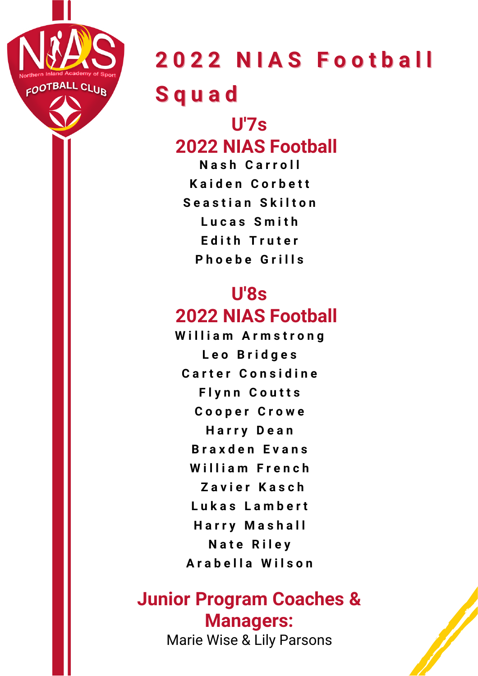

### **2 0 2 2 N I A S F o o t b a l l S q u a d**

### **U'7s 2022 NIAS Football**

**N a s h C a r r o l l K a i d e n C o r b e t t S e a s t i a n S k i l t o n L u c a s S m i t h E d i t h T r u t e r P h o e b e G r i l l s**

#### **U'8s 2022 NIAS Football**

**W i l l i a m A r m s t r o n g L e o B r i d g e s C a r t e r C o n s i d i n e F l y n n C o u t t s C o o p e r C r o w e H a r r y D e a n B r a x d e n E v a n s W i l l i a m F r e n c h Z a v i e r K a s c h L u k a s L a m b e r t H a r r y M a s h a l l N a t e R i l e y A r a b e l l a W i l s o n**

### **Junior Program Coaches & Managers:**

Marie Wise & Lily Parsons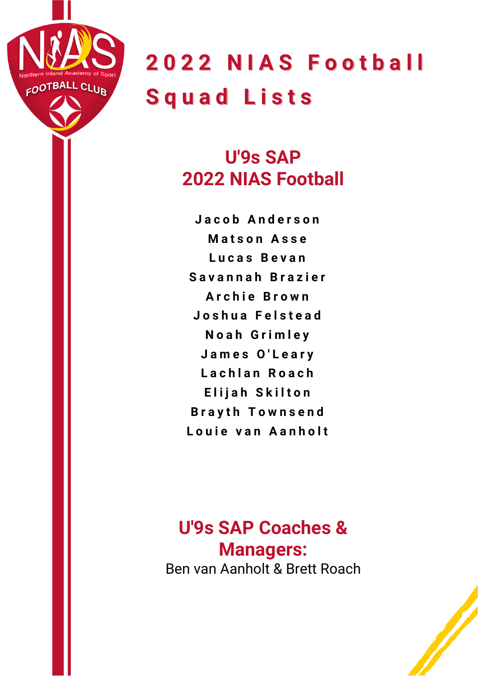

**2 0 2 2 N I A S F o o t b a l l S q u a d L i s t s**

### **U'9s SAP 2022 NIAS Football**

**J a c o b A n d e r s o n Matson Asse L u c a s B e v a n S a v a n n a h B r a z i e r A r c h i e B r o w n J o s h u a F e l s t e a d N o a h G r i m l e y J a m e s O ' L e a r y L a c h l a n R o a c h E l i j a h S k i l t o n B r a y t h T o w n s e n d L o u i e v a n A a n h o l t**

#### **U'9s SAP Coaches & Managers:** Ben van Aanholt & Brett Roach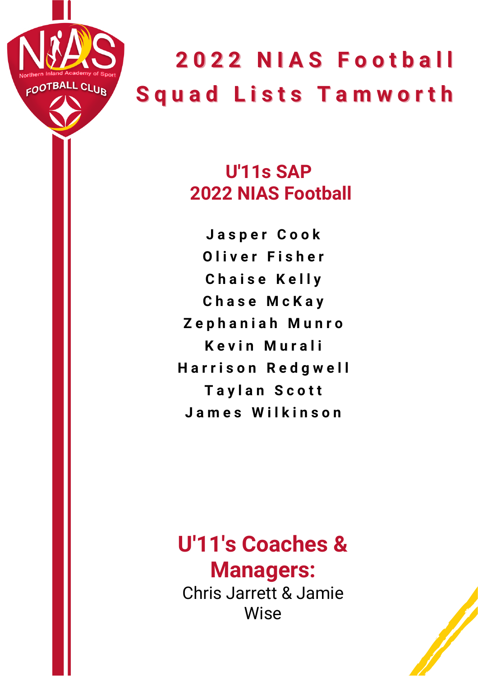

#### **U'11s SAP 2022 NIAS Football**

**J a s p e r C o o k O l i v e r F i s h e r C h a i s e K e l l y C h a s e M c K a y Z e p h a n i a h M u n r o K e v i n M u r a l i H a r r i s o n R e d g w e l l T a y l a n S c o t t J a m e s W i l k i n s o n**

### **U'11's Coaches & Managers:** Chris Jarrett & Jamie

Wise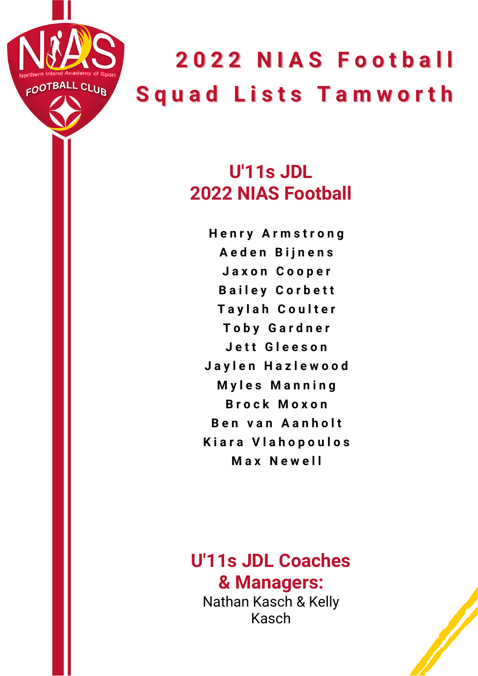

### **U'11s JDL 2022 NIAS Football**

**H e n r y A r m s t r o n g A e d e n B i j n e n s J a x o n C o o p e r B a i l e y C o r b e t t T a y l a h C o u l t e r T o b y G a r d n e r J e t t G l e e s o n J a y l e n H a z l e w o o d M y l e s M a n n i n g B r o c k M o x o n B e n v a n A a n h o l t K i a r a V l a h o p o u l o s M a x N e w e l l**

#### **U'11s JDL Coaches & Managers:**

Nathan Kasch & Kelly Kasch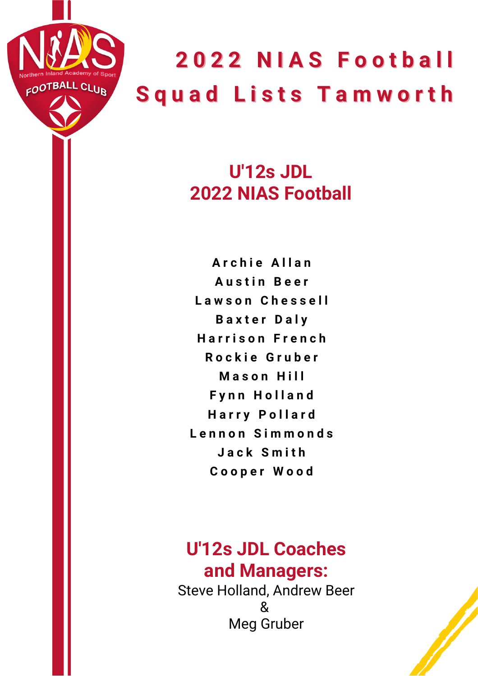

### **U'12s JDL 2022 NIAS Football**

**A r c h i e A l l a n A u s t i n B e e r L a w s o n C h e s s e l l B a x t e r D a l y H a r r i s o n F r e n c h R o c k i e G r u b e r M a s o n H i l l F y n n H o l l a n d H a r r y P o l l a r d L e n n o n S i m m o n d s J a c k S m i t h C o o p e r W o o d**

#### **U'12s JDL Coaches and Managers:**

Steve Holland, Andrew Beer  $\boldsymbol{\mathcal{R}}$ Meg Gruber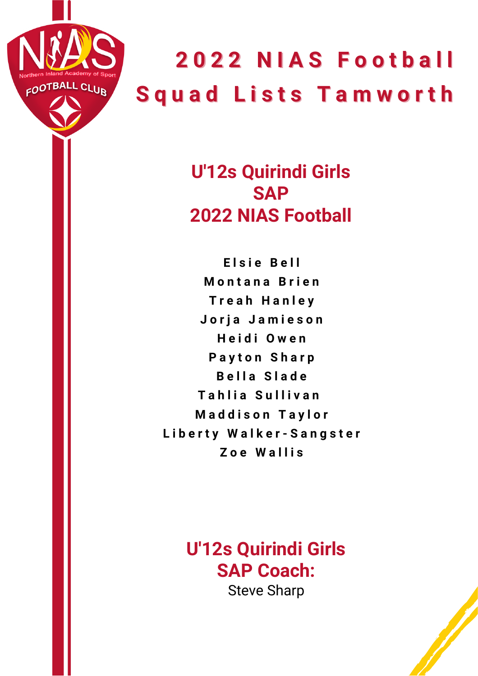

**U'12s Quirindi Girls SAP 2022 NIAS Football**

**E l s i e B e l l M o n t a n a B r i e n T r e a h H a n l e y J o r j a J a m i e s o n H e i d i O w e n Payton Sharp B e l l a S l a d e T a h l i a S u l l i v a n M a d d i s o n T a y l o r L i b e r t y W a l k e r - S a n g s t e r Z o e W a l l i s**

> **U'12s Quirindi Girls SAP Coach:** Steve Sharp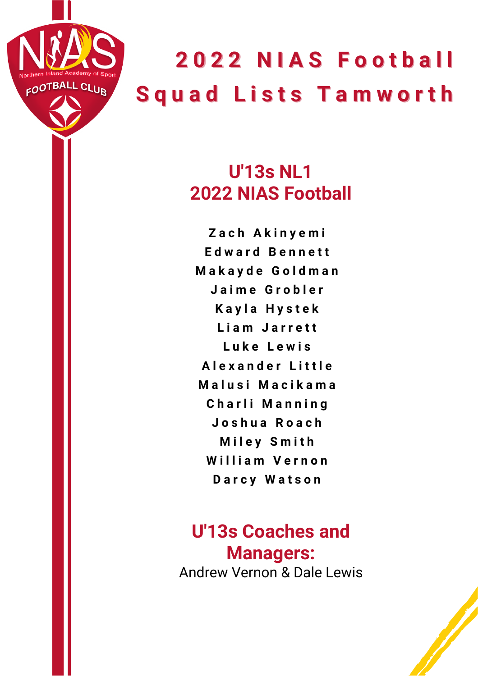

### **U'13s NL1 2022 NIAS Football**

**Z a c h A k i n y e m i E d w a r d B e n n e t t M a k a y d e G o l d m a n J a i m e G r o b l e r K a y l a H y s t e k L i a m J a r r e t t L u k e L e w i s A l e x a n d e r L i t t l e M a l u s i M a c i k a m a C h a r l i M a n n i n g J o s h u a R o a c h M i l e y S m i t h W i l l i a m V e r n o n D a r c y W a t s o n**

#### **U'13s Coaches and Managers:** Andrew Vernon & Dale Lewis